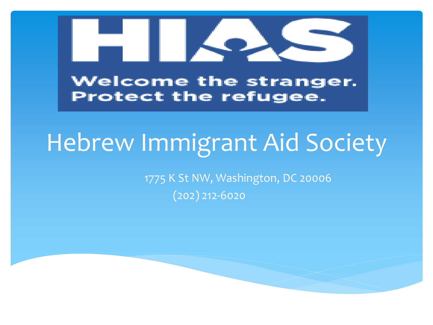

## Hebrew Immigrant Aid Society

1775 K St NW, Washington, DC 20006 (202) 212-6020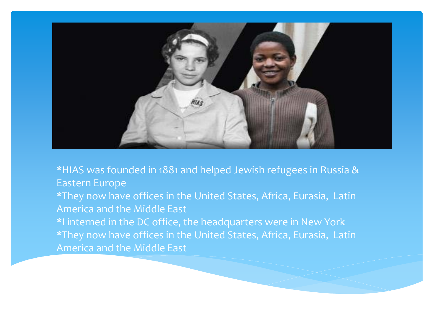

\*HIAS was founded in 1881 and helped Jewish refugees in Russia & Eastern Europe \*They now have offices in the United States, Africa, Eurasia, Latin America and the Middle East \*I interned in the DC office, the headquarters were in New York \*They now have offices in the United States, Africa, Eurasia, Latin America and the Middle East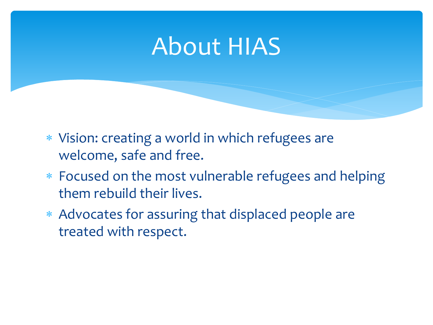### About HIAS

- ∗ Vision: creating a world in which refugees are welcome, safe and free.
- ∗ Focused on the most vulnerable refugees and helping them rebuild their lives.
- ∗ Advocates for assuring that displaced people are treated with respect.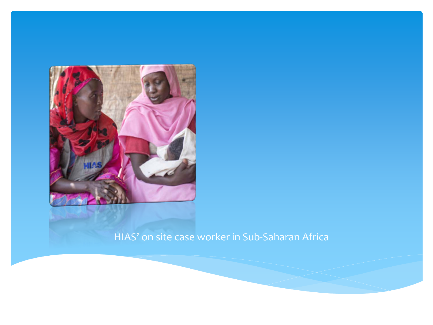

#### HIAS' on site case worker in Sub-Saharan Africa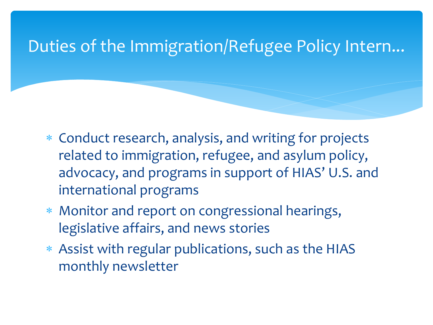#### Duties of the Immigration/Refugee Policy Intern...

- ∗ Conduct research, analysis, and writing for projects related to immigration, refugee, and asylum policy, advocacy, and programs in support of HIAS' U.S. and international programs
- ∗ Monitor and report on congressional hearings, legislative affairs, and news stories
- ∗ Assist with regular publications, such as the HIAS monthly newsletter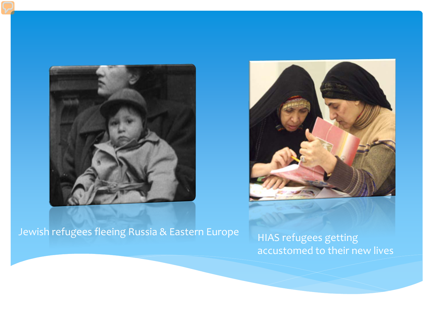



#### Jewish refugees fleeing Russia & Eastern Europe HIAS refugees getting

#### accustomed to their new lives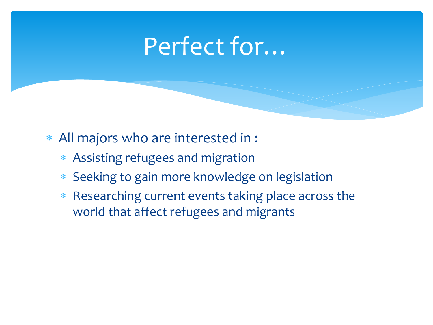## Perfect for…

- ∗ All majors who are interested in :
	- ∗ Assisting refugees and migration
	- ∗ Seeking to gain more knowledge on legislation
	- ∗ Researching current events taking place across the world that affect refugees and migrants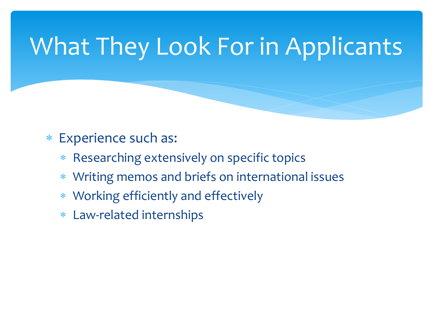# What They Look For in Applicants

- ∗ Experience such as:
	- ∗ Researching extensively on specific topics
	- ∗ Writing memos and briefs on international issues
	- ∗ Working efficiently and effectively
	- ∗ Law-related internships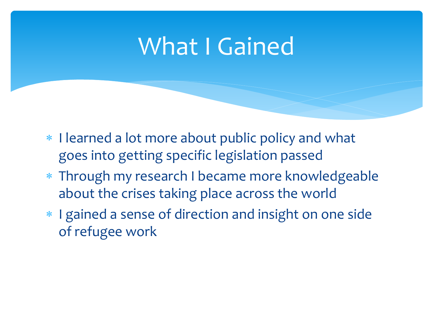## What I Gained

- ∗ I learned a lot more about public policy and what goes into getting specific legislation passed
- ∗ Through my research I became more knowledgeable about the crises taking place across the world
- ∗ I gained a sense of direction and insight on one side of refugee work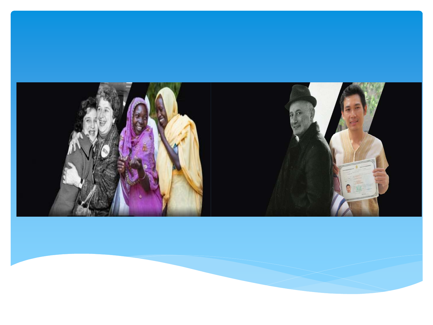